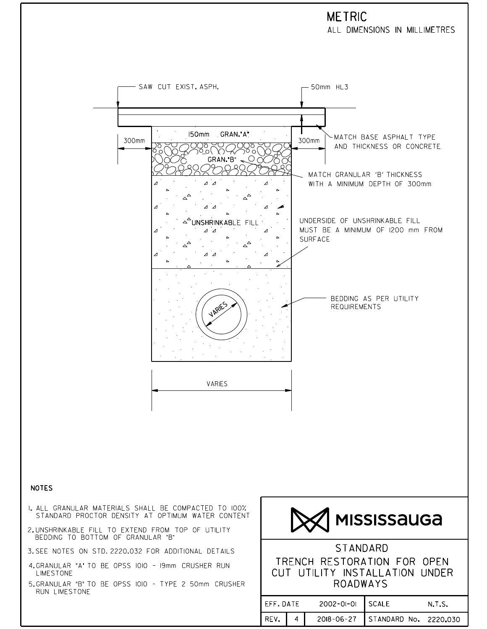## **METRIC**

ALL DIMENSIONS IN MILLIMETRES

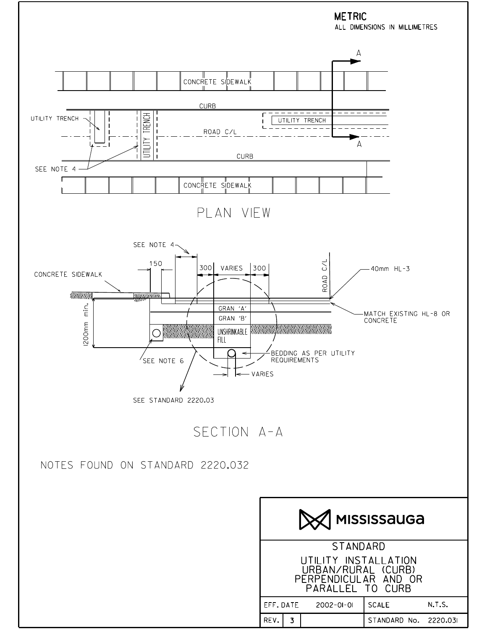